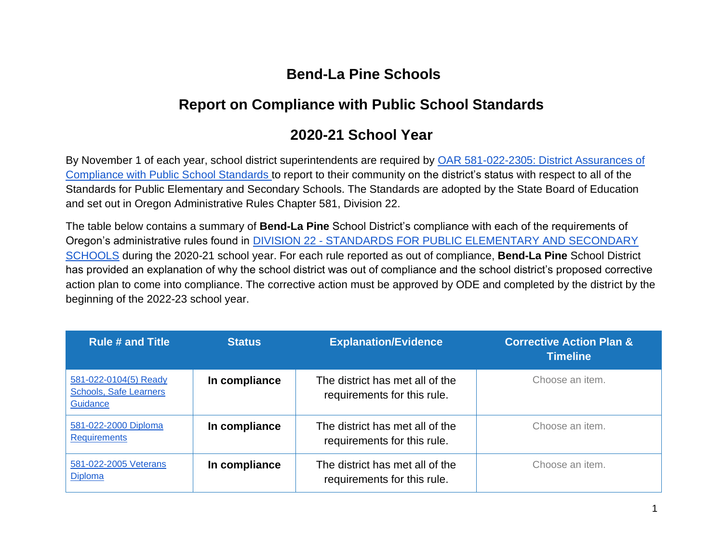## **Bend-La Pine Schools**

## **Report on Compliance with Public School Standards**

## **2020-21 School Year**

By November 1 of each year, school district superintendents are required by [OAR 581-022-2305: District Assurances of](https://secure.sos.state.or.us/oard/viewSingleRule.action?ruleVrsnRsn=237662)  [Compliance with Public School Standards t](https://secure.sos.state.or.us/oard/viewSingleRule.action?ruleVrsnRsn=237662)o report to their community on the district's status with respect to all of the Standards for Public Elementary and Secondary Schools. The Standards are adopted by the State Board of Education and set out in Oregon Administrative Rules Chapter 581, Division 22.

The table below contains a summary of **Bend-La Pine** School District's compliance with each of the requirements of Oregon's administrative rules found i[n](https://secure.sos.state.or.us/oard/displayDivisionRules.action?selectedDivision=2563) DIVISION 22 - [STANDARDS FOR PUBLIC ELEMENTARY AND SECONDARY](https://secure.sos.state.or.us/oard/displayDivisionRules.action?selectedDivision=2563)  [SCHOOLS](https://secure.sos.state.or.us/oard/displayDivisionRules.action?selectedDivision=2563) during the 2020-21 school year. For each rule reported as out of compliance, **Bend-La Pine** School District has provided an explanation of why the school district was out of compliance and the school district's proposed corrective action plan to come into compliance. The corrective action must be approved by ODE and completed by the district by the beginning of the 2022-23 school year.

| <b>Rule # and Title</b>                                            | <b>Status</b> | <b>Explanation/Evidence</b>                                    | <b>Corrective Action Plan &amp;</b><br><b>Timeline</b> |
|--------------------------------------------------------------------|---------------|----------------------------------------------------------------|--------------------------------------------------------|
| 581-022-0104(5) Ready<br><b>Schools, Safe Learners</b><br>Guidance | In compliance | The district has met all of the<br>requirements for this rule. | Choose an item.                                        |
| 581-022-2000 Diploma<br><b>Requirements</b>                        | In compliance | The district has met all of the<br>requirements for this rule. | Choose an item.                                        |
| 581-022-2005 Veterans<br><b>Diploma</b>                            | In compliance | The district has met all of the<br>requirements for this rule. | Choose an item.                                        |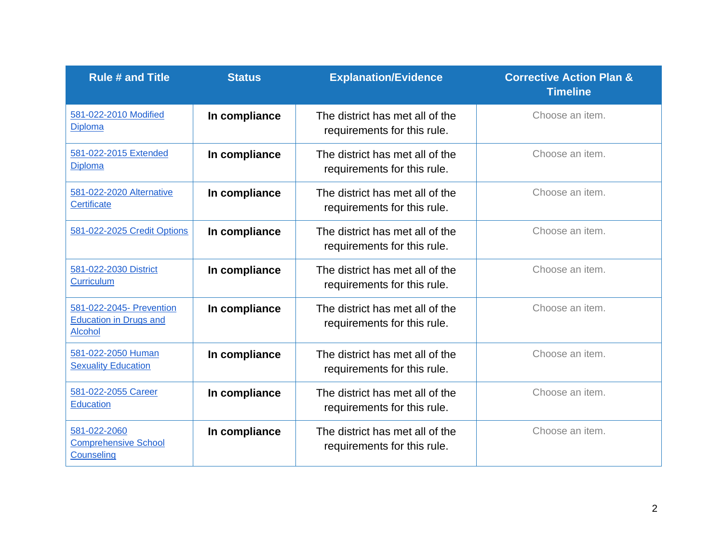| <b>Rule # and Title</b>                                                     | <b>Status</b> | <b>Explanation/Evidence</b>                                    | <b>Corrective Action Plan &amp;</b><br><b>Timeline</b> |
|-----------------------------------------------------------------------------|---------------|----------------------------------------------------------------|--------------------------------------------------------|
| 581-022-2010 Modified<br><b>Diploma</b>                                     | In compliance | The district has met all of the<br>requirements for this rule. | Choose an item.                                        |
| 581-022-2015 Extended<br><b>Diploma</b>                                     | In compliance | The district has met all of the<br>requirements for this rule. | Choose an item.                                        |
| 581-022-2020 Alternative<br>Certificate                                     | In compliance | The district has met all of the<br>requirements for this rule. | Choose an item.                                        |
| 581-022-2025 Credit Options                                                 | In compliance | The district has met all of the<br>requirements for this rule. | Choose an item.                                        |
| 581-022-2030 District<br><b>Curriculum</b>                                  | In compliance | The district has met all of the<br>requirements for this rule. | Choose an item.                                        |
| 581-022-2045- Prevention<br><b>Education in Drugs and</b><br><b>Alcohol</b> | In compliance | The district has met all of the<br>requirements for this rule. | Choose an item.                                        |
| 581-022-2050 Human<br><b>Sexuality Education</b>                            | In compliance | The district has met all of the<br>requirements for this rule. | Choose an item.                                        |
| 581-022-2055 Career<br><b>Education</b>                                     | In compliance | The district has met all of the<br>requirements for this rule. | Choose an item.                                        |
| 581-022-2060<br><b>Comprehensive School</b><br>Counseling                   | In compliance | The district has met all of the<br>requirements for this rule. | Choose an item.                                        |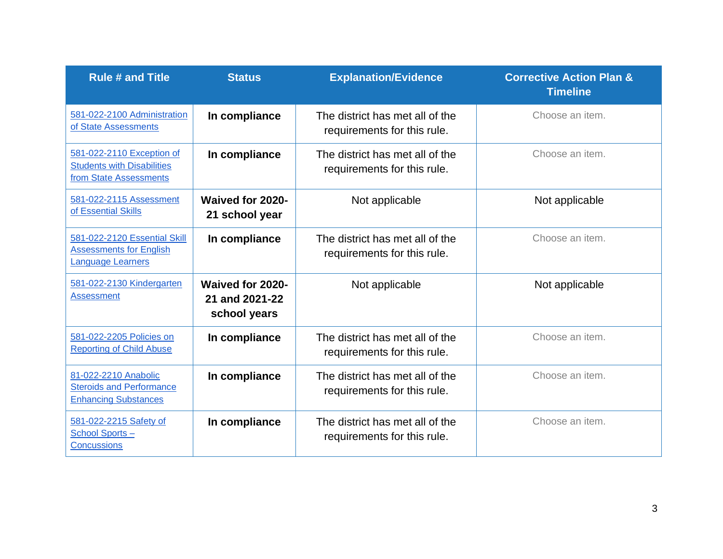| <b>Rule # and Title</b>                                                                  | <b>Status</b>                                      | <b>Explanation/Evidence</b>                                    | <b>Corrective Action Plan &amp;</b><br><b>Timeline</b> |
|------------------------------------------------------------------------------------------|----------------------------------------------------|----------------------------------------------------------------|--------------------------------------------------------|
| 581-022-2100 Administration<br>of State Assessments                                      | In compliance                                      | The district has met all of the<br>requirements for this rule. | Choose an item.                                        |
| 581-022-2110 Exception of<br><b>Students with Disabilities</b><br>from State Assessments | In compliance                                      | The district has met all of the<br>requirements for this rule. | Choose an item.                                        |
| 581-022-2115 Assessment<br>of Essential Skills                                           | Waived for 2020-<br>21 school year                 | Not applicable                                                 | Not applicable                                         |
| 581-022-2120 Essential Skill<br><b>Assessments for English</b><br>Language Learners      | In compliance                                      | The district has met all of the<br>requirements for this rule. | Choose an item.                                        |
| 581-022-2130 Kindergarten<br><b>Assessment</b>                                           | Waived for 2020-<br>21 and 2021-22<br>school years | Not applicable                                                 | Not applicable                                         |
| 581-022-2205 Policies on<br><b>Reporting of Child Abuse</b>                              | In compliance                                      | The district has met all of the<br>requirements for this rule. | Choose an item.                                        |
| 81-022-2210 Anabolic<br><b>Steroids and Performance</b><br><b>Enhancing Substances</b>   | In compliance                                      | The district has met all of the<br>requirements for this rule. | Choose an item.                                        |
| 581-022-2215 Safety of<br>School Sports-<br>Concussions                                  | In compliance                                      | The district has met all of the<br>requirements for this rule. | Choose an item.                                        |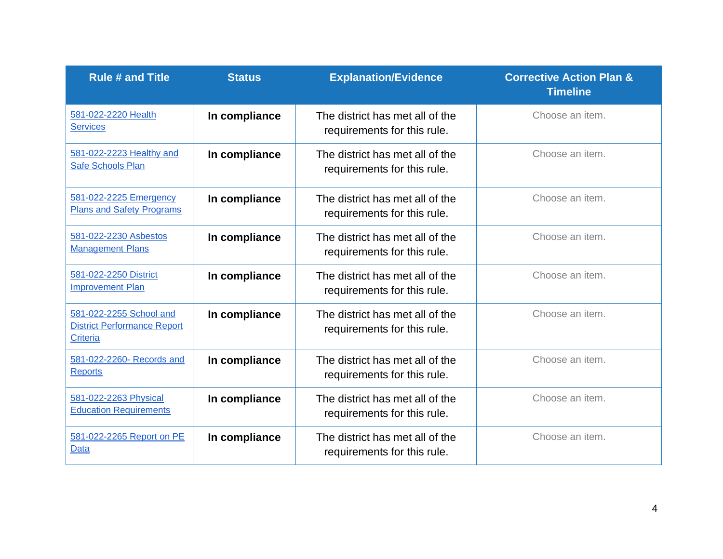| <b>Rule # and Title</b>                                                          | <b>Status</b> | <b>Explanation/Evidence</b>                                    | <b>Corrective Action Plan &amp;</b><br><b>Timeline</b> |
|----------------------------------------------------------------------------------|---------------|----------------------------------------------------------------|--------------------------------------------------------|
| 581-022-2220 Health<br><b>Services</b>                                           | In compliance | The district has met all of the<br>requirements for this rule. | Choose an item.                                        |
| 581-022-2223 Healthy and<br>Safe Schools Plan                                    | In compliance | The district has met all of the<br>requirements for this rule. | Choose an item.                                        |
| 581-022-2225 Emergency<br><b>Plans and Safety Programs</b>                       | In compliance | The district has met all of the<br>requirements for this rule. | Choose an item.                                        |
| 581-022-2230 Asbestos<br><b>Management Plans</b>                                 | In compliance | The district has met all of the<br>requirements for this rule. | Choose an item.                                        |
| 581-022-2250 District<br><b>Improvement Plan</b>                                 | In compliance | The district has met all of the<br>requirements for this rule. | Choose an item.                                        |
| 581-022-2255 School and<br><b>District Performance Report</b><br><b>Criteria</b> | In compliance | The district has met all of the<br>requirements for this rule. | Choose an item.                                        |
| 581-022-2260- Records and<br><b>Reports</b>                                      | In compliance | The district has met all of the<br>requirements for this rule. | Choose an item.                                        |
| 581-022-2263 Physical<br><b>Education Requirements</b>                           | In compliance | The district has met all of the<br>requirements for this rule. | Choose an item.                                        |
| 581-022-2265 Report on PE<br><b>Data</b>                                         | In compliance | The district has met all of the<br>requirements for this rule. | Choose an item.                                        |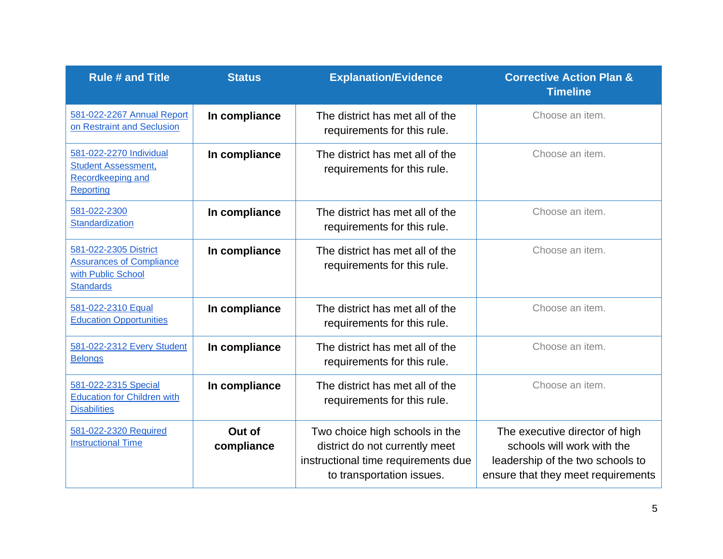| <b>Rule # and Title</b>                                                                            | <b>Status</b>        | <b>Explanation/Evidence</b>                                                                                                          | <b>Corrective Action Plan &amp;</b><br><b>Timeline</b>                                                                                 |
|----------------------------------------------------------------------------------------------------|----------------------|--------------------------------------------------------------------------------------------------------------------------------------|----------------------------------------------------------------------------------------------------------------------------------------|
| 581-022-2267 Annual Report<br>on Restraint and Seclusion                                           | In compliance        | The district has met all of the<br>requirements for this rule.                                                                       | Choose an item.                                                                                                                        |
| 581-022-2270 Individual<br><b>Student Assessment,</b><br>Recordkeeping and<br>Reporting            | In compliance        | The district has met all of the<br>requirements for this rule.                                                                       | Choose an item.                                                                                                                        |
| 581-022-2300<br>Standardization                                                                    | In compliance        | The district has met all of the<br>requirements for this rule.                                                                       | Choose an item.                                                                                                                        |
| 581-022-2305 District<br><b>Assurances of Compliance</b><br>with Public School<br><b>Standards</b> | In compliance        | The district has met all of the<br>requirements for this rule.                                                                       | Choose an item.                                                                                                                        |
| 581-022-2310 Equal<br><b>Education Opportunities</b>                                               | In compliance        | The district has met all of the<br>requirements for this rule.                                                                       | Choose an item.                                                                                                                        |
| 581-022-2312 Every Student<br><b>Belongs</b>                                                       | In compliance        | The district has met all of the<br>requirements for this rule.                                                                       | Choose an item.                                                                                                                        |
| 581-022-2315 Special<br><b>Education for Children with</b><br><b>Disabilities</b>                  | In compliance        | The district has met all of the<br>requirements for this rule.                                                                       | Choose an item.                                                                                                                        |
| 581-022-2320 Required<br><b>Instructional Time</b>                                                 | Out of<br>compliance | Two choice high schools in the<br>district do not currently meet<br>instructional time requirements due<br>to transportation issues. | The executive director of high<br>schools will work with the<br>leadership of the two schools to<br>ensure that they meet requirements |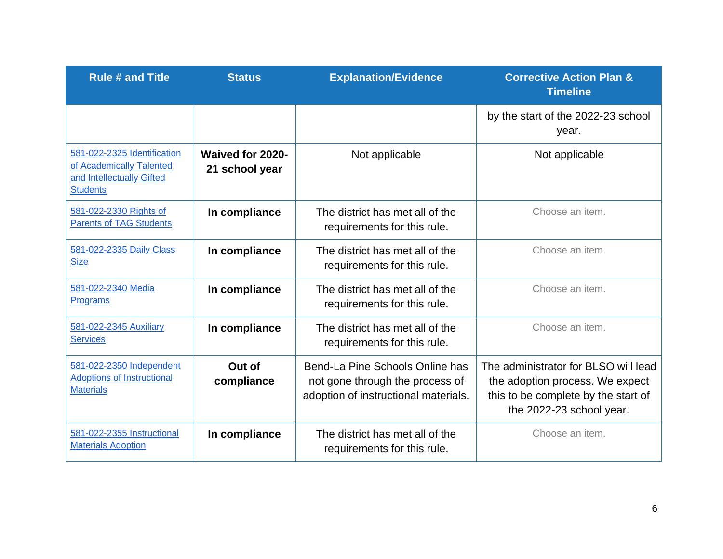| <b>Rule # and Title</b>                                                                                 | <b>Status</b>                      | <b>Explanation/Evidence</b>                                                                                | <b>Corrective Action Plan &amp;</b><br><b>Timeline</b>                                                                                     |
|---------------------------------------------------------------------------------------------------------|------------------------------------|------------------------------------------------------------------------------------------------------------|--------------------------------------------------------------------------------------------------------------------------------------------|
|                                                                                                         |                                    |                                                                                                            | by the start of the 2022-23 school<br>year.                                                                                                |
| 581-022-2325 Identification<br>of Academically Talented<br>and Intellectually Gifted<br><b>Students</b> | Waived for 2020-<br>21 school year | Not applicable                                                                                             | Not applicable                                                                                                                             |
| 581-022-2330 Rights of<br><b>Parents of TAG Students</b>                                                | In compliance                      | The district has met all of the<br>requirements for this rule.                                             | Choose an item.                                                                                                                            |
| 581-022-2335 Daily Class<br><b>Size</b>                                                                 | In compliance                      | The district has met all of the<br>requirements for this rule.                                             | Choose an item.                                                                                                                            |
| 581-022-2340 Media<br>Programs                                                                          | In compliance                      | The district has met all of the<br>requirements for this rule.                                             | Choose an item.                                                                                                                            |
| 581-022-2345 Auxiliary<br><b>Services</b>                                                               | In compliance                      | The district has met all of the<br>requirements for this rule.                                             | Choose an item.                                                                                                                            |
| 581-022-2350 Independent<br><b>Adoptions of Instructional</b><br><b>Materials</b>                       | Out of<br>compliance               | Bend-La Pine Schools Online has<br>not gone through the process of<br>adoption of instructional materials. | The administrator for BLSO will lead<br>the adoption process. We expect<br>this to be complete by the start of<br>the 2022-23 school year. |
| 581-022-2355 Instructional<br><b>Materials Adoption</b>                                                 | In compliance                      | The district has met all of the<br>requirements for this rule.                                             | Choose an item.                                                                                                                            |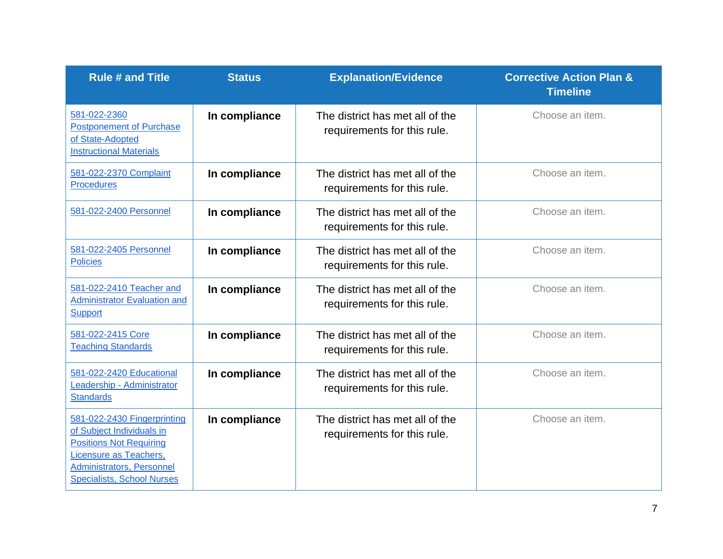| <b>Rule # and Title</b>                                                                                                                                                                       | <b>Status</b> | <b>Explanation/Evidence</b>                                    | <b>Corrective Action Plan &amp;</b><br><b>Timeline</b> |
|-----------------------------------------------------------------------------------------------------------------------------------------------------------------------------------------------|---------------|----------------------------------------------------------------|--------------------------------------------------------|
| 581-022-2360<br><b>Postponement of Purchase</b><br>of State-Adopted<br><b>Instructional Materials</b>                                                                                         | In compliance | The district has met all of the<br>requirements for this rule. | Choose an item.                                        |
| 581-022-2370 Complaint<br><b>Procedures</b>                                                                                                                                                   | In compliance | The district has met all of the<br>requirements for this rule. | Choose an item.                                        |
| 581-022-2400 Personnel                                                                                                                                                                        | In compliance | The district has met all of the<br>requirements for this rule. | Choose an item.                                        |
| 581-022-2405 Personnel<br><b>Policies</b>                                                                                                                                                     | In compliance | The district has met all of the<br>requirements for this rule. | Choose an item.                                        |
| 581-022-2410 Teacher and<br><b>Administrator Evaluation and</b><br><b>Support</b>                                                                                                             | In compliance | The district has met all of the<br>requirements for this rule. | Choose an item.                                        |
| 581-022-2415 Core<br><b>Teaching Standards</b>                                                                                                                                                | In compliance | The district has met all of the<br>requirements for this rule. | Choose an item.                                        |
| 581-022-2420 Educational<br>Leadership - Administrator<br><b>Standards</b>                                                                                                                    | In compliance | The district has met all of the<br>requirements for this rule. | Choose an item.                                        |
| 581-022-2430 Fingerprinting<br>of Subject Individuals in<br><b>Positions Not Requiring</b><br>Licensure as Teachers,<br><b>Administrators, Personnel</b><br><b>Specialists, School Nurses</b> | In compliance | The district has met all of the<br>requirements for this rule. | Choose an item.                                        |